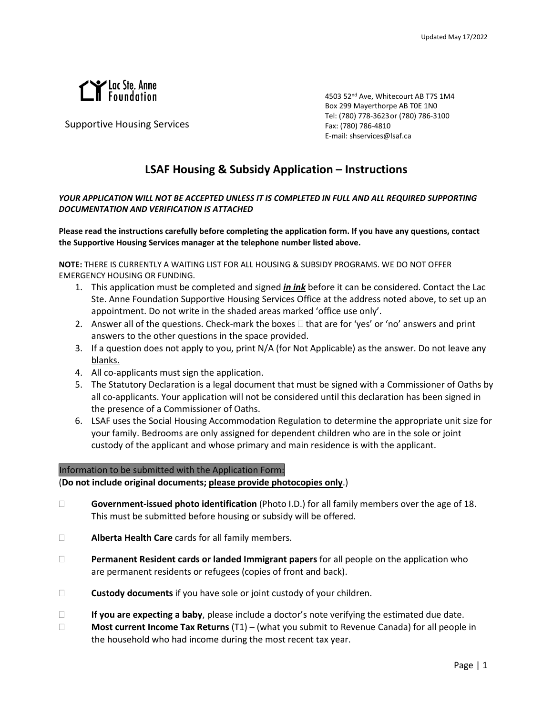

Supportive Housing Services

4503 52nd Ave, Whitecourt AB T7S 1M4 Box 299 Mayerthorpe AB T0E 1N0 Tel: (780) 778-3623 or (780) 786-3100 Fax: (780) 786-4810 E-mail: shservices@lsaf.ca

# **LSAF Housing & Subsidy Application – Instructions**

## *YOUR APPLICATION WILL NOT BE ACCEPTED UNLESS IT IS COMPLETED IN FULL AND ALL REQUIRED SUPPORTING DOCUMENTATION AND VERIFICATION IS ATTACHED*

**Please read the instructions carefully before completing the application form. If you have any questions, contact the Supportive Housing Services manager at the telephone number listed above.**

**NOTE:** THERE IS CURRENTLY A WAITING LIST FOR ALL HOUSING & SUBSIDY PROGRAMS. WE DO NOT OFFER EMERGENCY HOUSING OR FUNDING.

- 1. This application must be completed and signed *in ink* before it can be considered. Contact the Lac Ste. Anne Foundation Supportive Housing Services Office at the address noted above, to set up an appointment. Do not write in the shaded areas marked 'office use only'.
- 2. Answer all of the questions. Check-mark the boxes  $\Box$  that are for 'yes' or 'no' answers and print answers to the other questions in the space provided.
- 3. If a question does not apply to you, print N/A (for Not Applicable) as the answer. Do not leave any blanks.
- 4. All co-applicants must sign the application.
- 5. The Statutory Declaration is a legal document that must be signed with a Commissioner of Oaths by all co-applicants. Your application will not be considered until this declaration has been signed in the presence of a Commissioner of Oaths.
- 6. LSAF uses the Social Housing Accommodation Regulation to determine the appropriate unit size for your family. Bedrooms are only assigned for dependent children who are in the sole or joint custody of the applicant and whose primary and main residence is with the applicant.

## Information to be submitted with the Application Form:

(**Do not include original documents; please provide photocopies only**.)

- **Government-issued photo identification** (Photo I.D.) for all family members over the age of 18. This must be submitted before housing or subsidy will be offered.
- **Alberta Health Care** cards for all family members.
- **Permanent Resident cards or landed Immigrant papers** for all people on the application who are permanent residents or refugees (copies of front and back).
- **Custody documents** if you have sole or joint custody of your children.
- **If you are expecting a baby**, please include a doctor's note verifying the estimated due date.
- **Most current Income Tax Returns** (T1) (what you submit to Revenue Canada) for all people in the household who had income during the most recent tax year.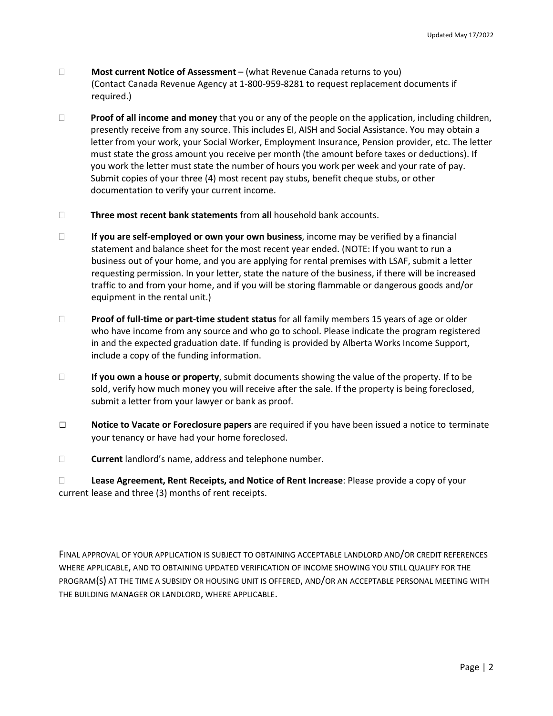- **Most current Notice of Assessment** (what Revenue Canada returns to you) (Contact Canada Revenue Agency at 1-800-959-8281 to request replacement documents if required.)
- **Proof of all income and money** that you or any of the people on the application, including children, presently receive from any source. This includes EI, AISH and Social Assistance. You may obtain a letter from your work, your Social Worker, Employment Insurance, Pension provider, etc. The letter must state the gross amount you receive per month (the amount before taxes or deductions). If you work the letter must state the number of hours you work per week and your rate of pay. Submit copies of your three (4) most recent pay stubs, benefit cheque stubs, or other documentation to verify your current income.
- **Three most recent bank statements** from **all** household bank accounts.
- **If you are self-employed or own your own business**, income may be verified by a financial statement and balance sheet for the most recent year ended. (NOTE: If you want to run a business out of your home, and you are applying for rental premises with LSAF, submit a letter requesting permission. In your letter, state the nature of the business, if there will be increased traffic to and from your home, and if you will be storing flammable or dangerous goods and/or equipment in the rental unit.)
- **Proof of full-time or part-time student status** for all family members 15 years of age or older who have income from any source and who go to school. Please indicate the program registered in and the expected graduation date. If funding is provided by Alberta Works Income Support, include a copy of the funding information.
- **If you own a house or property**, submit documents showing the value of the property. If to be sold, verify how much money you will receive after the sale. If the property is being foreclosed, submit a letter from your lawyer or bank as proof.
- **□ Notice to Vacate or Foreclosure papers** are required if you have been issued a notice to terminate your tenancy or have had your home foreclosed.
- **Current** landlord's name, address and telephone number.

 **Lease Agreement, Rent Receipts, and Notice of Rent Increase**: Please provide a copy of your current lease and three (3) months of rent receipts.

FINAL APPROVAL OF YOUR APPLICATION IS SUBJECT TO OBTAINING ACCEPTABLE LANDLORD AND/OR CREDIT REFERENCES WHERE APPLICABLE, AND TO OBTAINING UPDATED VERIFICATION OF INCOME SHOWING YOU STILL QUALIFY FOR THE PROGRAM(S) AT THE TIME A SUBSIDY OR HOUSING UNIT IS OFFERED, AND/OR AN ACCEPTABLE PERSONAL MEETING WITH THE BUILDING MANAGER OR LANDLORD, WHERE APPLICABLE.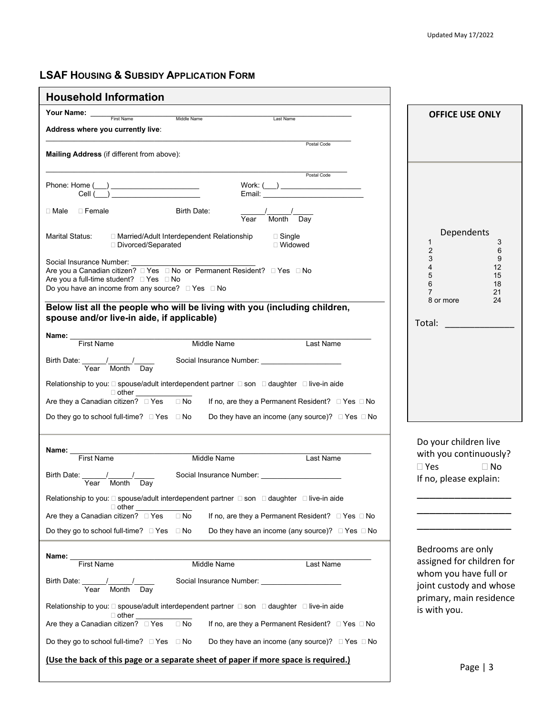# **LSAF HOUSING & SUBSIDY APPLICATION FORM**

| <b>Household Information</b>                                                                                                                                                                                                                                              |                                                                                    |
|---------------------------------------------------------------------------------------------------------------------------------------------------------------------------------------------------------------------------------------------------------------------------|------------------------------------------------------------------------------------|
| Your Name: ___<br>Middle Name<br>First Name<br>Last Name                                                                                                                                                                                                                  | <b>OFFICE USE ONLY</b>                                                             |
| Address where you currently live:                                                                                                                                                                                                                                         |                                                                                    |
| Postal Code<br>Mailing Address (if different from above):                                                                                                                                                                                                                 |                                                                                    |
| Postal Code<br>Work: $(\_\_)$<br>$\begin{tabular}{c}  \hline \textbf{Phone: Home} \hspace{1.5cm} \textcolor{red}{\textbf{\textcolor{blue}{\textbf{[1]}}}} \\ \hline \textbf{Cell} \hspace{1.5cm} \textcolor{blue}{\textbf{\textcolor{blue}{\textbf{[1]}}}} \end{tabular}$ |                                                                                    |
| ⊟ Female<br>Birth Date:<br>□ Male<br>Month Day<br>Year                                                                                                                                                                                                                    |                                                                                    |
| Marital Status:<br>□ Married/Adult Interdependent Relationship<br>$\Box$ Single<br>□ Divorced/Separated<br>□ Widowed                                                                                                                                                      | Dependents<br>1<br>3<br>$\overline{c}$<br>6                                        |
| Are you a full-time student? □ Yes □ No<br>Do you have an income from any source? □ Yes □ No                                                                                                                                                                              | 3<br>9<br>4<br>12<br>5<br>15<br>6<br>18<br>$\overline{7}$<br>21<br>8 or more<br>24 |
| Below list all the people who will be living with you (including children,<br>spouse and/or live-in aide, if applicable)                                                                                                                                                  |                                                                                    |
| <b>Name:</b><br>First Name<br>First Name<br><b>Middle Name</b>                                                                                                                                                                                                            |                                                                                    |
| Last Name<br>Birth Date: <u>Year / Month Day</u> Social Insurance Number: _________________________<br>Year Month Day                                                                                                                                                     |                                                                                    |
| Relationship to you: [2] spouse/adult interdependent partner [2] son [2] daughter [2] live-in aide                                                                                                                                                                        |                                                                                    |
| $\Box$ other $\Box$<br>Are they a Canadian citizen? $\Box$ Yes $\Box$ No<br>If no, are they a Permanent Resident? □ Yes □ No                                                                                                                                              |                                                                                    |
| Do they go to school full-time? □ Yes □ No<br>Do they have an income (any source)? $\Box$ Yes $\Box$ No                                                                                                                                                                   |                                                                                    |
| Name:<br><b>First Name</b><br><b>Middle Name</b><br>Last Name                                                                                                                                                                                                             | Do your children live<br>with you continuously?                                    |
| Social Insurance Number: Social Insurance Number:<br>Birth Date:<br>Year Month Day                                                                                                                                                                                        | $\Box$ Yes<br>$\Box$ No<br>If no, please explain:                                  |
| Relationship to you: [2] spouse/adult interdependent partner [2] son [2] daughter [2] live-in aide<br>$\Box$ other                                                                                                                                                        |                                                                                    |
| $\Box$ No<br>Are they a Canadian citizen? $\Box$ Yes<br>If no, are they a Permanent Resident? □ Yes □ No                                                                                                                                                                  |                                                                                    |
| Do they go to school full-time? $\Box$ Yes $\Box$ No<br>Do they have an income (any source)? $\Box$ Yes $\Box$ No                                                                                                                                                         |                                                                                    |
| Name:<br><b>First Name</b><br>Middle Name<br>Last Name                                                                                                                                                                                                                    | Bedrooms are only<br>assigned for children for<br>whom you have full or            |
| Social Insurance Number: _______________________<br>Birth Date: _____<br>Year Month<br>Day                                                                                                                                                                                | joint custody and whose<br>primary, main residence                                 |
| Relationship to you: $\square$ spouse/adult interdependent partner $\square$ son $\square$ daughter $\square$ live-in aide<br>$\Box$ other                                                                                                                                | is with you.                                                                       |
| $\Box$ No<br>If no, are they a Permanent Resident? □ Yes □ No<br>Are they a Canadian citizen? DYes                                                                                                                                                                        |                                                                                    |
| Do they go to school full-time? $\Box$ Yes $\Box$ No<br>Do they have an income (any source)? $\Box$ Yes $\Box$ No                                                                                                                                                         |                                                                                    |
| (Use the back of this page or a separate sheet of paper if more space is required.)                                                                                                                                                                                       | $D_{200}$   2                                                                      |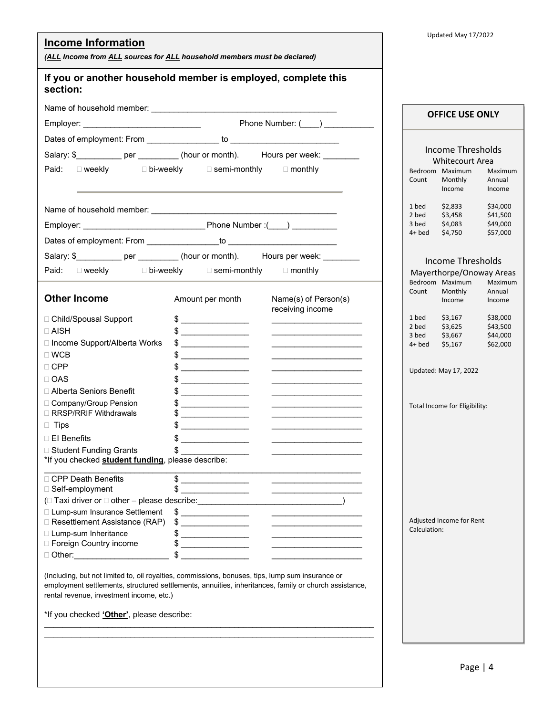| <b>Income Information</b><br>(ALL Income from ALL sources for ALL household members must be declared)                                                                                                                                                                                                                                                                                                                                                                                                                                                                                                                                                                          | Updated May 17/2022                                          |
|--------------------------------------------------------------------------------------------------------------------------------------------------------------------------------------------------------------------------------------------------------------------------------------------------------------------------------------------------------------------------------------------------------------------------------------------------------------------------------------------------------------------------------------------------------------------------------------------------------------------------------------------------------------------------------|--------------------------------------------------------------|
| If you or another household member is employed, complete this<br>section:                                                                                                                                                                                                                                                                                                                                                                                                                                                                                                                                                                                                      |                                                              |
|                                                                                                                                                                                                                                                                                                                                                                                                                                                                                                                                                                                                                                                                                |                                                              |
| Phone Number: ( )                                                                                                                                                                                                                                                                                                                                                                                                                                                                                                                                                                                                                                                              | <b>OFFICE USE ONLY</b>                                       |
|                                                                                                                                                                                                                                                                                                                                                                                                                                                                                                                                                                                                                                                                                |                                                              |
|                                                                                                                                                                                                                                                                                                                                                                                                                                                                                                                                                                                                                                                                                | Income Thresholds                                            |
| Paid: $\square$ weekly $\square$ bi-weekly $\square$ semi-monthly $\square$ monthly                                                                                                                                                                                                                                                                                                                                                                                                                                                                                                                                                                                            | <b>Whitecourt Area</b>                                       |
|                                                                                                                                                                                                                                                                                                                                                                                                                                                                                                                                                                                                                                                                                | Bedroom Maximum<br>Maximum<br>Monthly<br>Count<br>Annual     |
|                                                                                                                                                                                                                                                                                                                                                                                                                                                                                                                                                                                                                                                                                | Income<br>Income                                             |
|                                                                                                                                                                                                                                                                                                                                                                                                                                                                                                                                                                                                                                                                                | \$2,833<br>\$34,000<br>1 bed                                 |
|                                                                                                                                                                                                                                                                                                                                                                                                                                                                                                                                                                                                                                                                                | 2 bed<br>\$3,458<br>\$41,500<br>\$4,083<br>\$49,000<br>3 bed |
|                                                                                                                                                                                                                                                                                                                                                                                                                                                                                                                                                                                                                                                                                | $4+$ bed<br>\$4,750<br>\$57,000                              |
|                                                                                                                                                                                                                                                                                                                                                                                                                                                                                                                                                                                                                                                                                |                                                              |
| Salary: \$____________ per __________ (hour or month). Hours per week: _________                                                                                                                                                                                                                                                                                                                                                                                                                                                                                                                                                                                               | <b>Income Thresholds</b>                                     |
| Paid: $\square$ weekly $\square$ bi-weekly $\square$ semi-monthly $\square$ monthly                                                                                                                                                                                                                                                                                                                                                                                                                                                                                                                                                                                            | Mayerthorpe/Onoway Areas<br>Bedroom Maximum<br>Maximum       |
| <b>Other Income</b>                                                                                                                                                                                                                                                                                                                                                                                                                                                                                                                                                                                                                                                            | Monthly<br>Count<br>Annual                                   |
| Amount per month<br>Name(s) of Person(s)<br>receiving income                                                                                                                                                                                                                                                                                                                                                                                                                                                                                                                                                                                                                   | Income<br>Income                                             |
| □ Child/Spousal Support<br>$\frac{1}{2}$                                                                                                                                                                                                                                                                                                                                                                                                                                                                                                                                                                                                                                       | \$3,167<br>\$38,000<br>1 bed                                 |
| $\Box$ AISH<br>$\frac{1}{2}$<br><u> 2000 - Johann John Harry Harry Harry Harry Harry Harry Harry Harry Harry Harry Harry Harry Harry Harry Harry Harry Harry Harry Harry Harry Harry Harry Harry Harry Harry Harry Harry Harry Harry Harry Harry Harry Harry Har</u>                                                                                                                                                                                                                                                                                                                                                                                                           | \$3,625<br>2 bed<br>\$43,500<br>\$3,667<br>\$44,000<br>3 bed |
| □ Income Support/Alberta Works<br>$\frac{1}{2}$                                                                                                                                                                                                                                                                                                                                                                                                                                                                                                                                                                                                                                | \$5,167<br>\$62,000<br>4+ bed                                |
| $\Box$ WCB<br>$\frac{1}{2}$                                                                                                                                                                                                                                                                                                                                                                                                                                                                                                                                                                                                                                                    |                                                              |
| $\Box$ CPP<br>$\frac{1}{2}$                                                                                                                                                                                                                                                                                                                                                                                                                                                                                                                                                                                                                                                    | Updated: May 17, 2022                                        |
| $\Box$ OAS<br>$$\overbrace{\hspace{2.5cm}}$                                                                                                                                                                                                                                                                                                                                                                                                                                                                                                                                                                                                                                    |                                                              |
| □ Alberta Seniors Benefit<br>$$\overbrace{\hspace{2.5cm}}$                                                                                                                                                                                                                                                                                                                                                                                                                                                                                                                                                                                                                     |                                                              |
| □ Company/Group Pension<br>$\frac{1}{2}$<br><u> The Common State of the Common State of the Common State of the Common State of the Common State of the Common State of the Common State of the Common State of the Common State of the Common State of the Common State of </u><br>□ RRSP/RRIF Withdrawals<br>$\frac{1}{2}$                                                                                                                                                                                                                                                                                                                                                   | Total Income for Eligibility:                                |
| $\Box$ Tips                                                                                                                                                                                                                                                                                                                                                                                                                                                                                                                                                                                                                                                                    |                                                              |
| □ El Benefits<br><u> 1989 - Andrea State</u>                                                                                                                                                                                                                                                                                                                                                                                                                                                                                                                                                                                                                                   |                                                              |
| □ Student Funding Grants<br>\$                                                                                                                                                                                                                                                                                                                                                                                                                                                                                                                                                                                                                                                 |                                                              |
| *If you checked student funding, please describe:                                                                                                                                                                                                                                                                                                                                                                                                                                                                                                                                                                                                                              |                                                              |
| □ CPP Death Benefits<br>\$                                                                                                                                                                                                                                                                                                                                                                                                                                                                                                                                                                                                                                                     |                                                              |
| \$<br>□ Self-employment<br><u> 1989 - Johann John Stone, meil in der Stone aus der Stone aus der Stone aus der Stone aus der Stone aus der S</u>                                                                                                                                                                                                                                                                                                                                                                                                                                                                                                                               |                                                              |
| (□ Taxi driver or □ other - please describe: ___________________________________                                                                                                                                                                                                                                                                                                                                                                                                                                                                                                                                                                                               |                                                              |
| □ Lump-sum Insurance Settlement<br>$\frac{1}{2}$ , and the set of the set of the set of the set of the set of the set of the set of the set of the set of the set of the set of the set of the set of the set of the set of the set of the set of the set of the set                                                                                                                                                                                                                                                                                                                                                                                                           |                                                              |
| □ Resettlement Assistance (RAP)<br>$\frac{1}{2}$                                                                                                                                                                                                                                                                                                                                                                                                                                                                                                                                                                                                                               | Adjusted Income for Rent<br>Calculation:                     |
| □ Lump-sum Inheritance<br>$\frac{1}{2}$ $\frac{1}{2}$ $\frac{1}{2}$ $\frac{1}{2}$ $\frac{1}{2}$ $\frac{1}{2}$ $\frac{1}{2}$ $\frac{1}{2}$ $\frac{1}{2}$ $\frac{1}{2}$ $\frac{1}{2}$ $\frac{1}{2}$ $\frac{1}{2}$ $\frac{1}{2}$ $\frac{1}{2}$ $\frac{1}{2}$ $\frac{1}{2}$ $\frac{1}{2}$ $\frac{1}{2}$ $\frac{1}{2}$ $\frac{1}{2}$ $\frac{1}{2}$<br><u> 1989 - Johann Harry Harry Harry Harry Harry Harry Harry Harry Harry Harry Harry Harry Harry Harry Harry Harry Harry Harry Harry Harry Harry Harry Harry Harry Harry Harry Harry Harry Harry Harry Harry Harry Harry Harry Ha</u><br>□ Foreign Country income                                                              |                                                              |
| $\frac{1}{2}$ $\frac{1}{2}$ $\frac{1}{2}$ $\frac{1}{2}$ $\frac{1}{2}$ $\frac{1}{2}$ $\frac{1}{2}$ $\frac{1}{2}$ $\frac{1}{2}$ $\frac{1}{2}$ $\frac{1}{2}$ $\frac{1}{2}$ $\frac{1}{2}$ $\frac{1}{2}$ $\frac{1}{2}$ $\frac{1}{2}$ $\frac{1}{2}$ $\frac{1}{2}$ $\frac{1}{2}$ $\frac{1}{2}$ $\frac{1}{2}$ $\frac{1}{2}$<br>$\frac{1}{2}$ $\frac{1}{2}$ $\frac{1}{2}$ $\frac{1}{2}$ $\frac{1}{2}$ $\frac{1}{2}$ $\frac{1}{2}$ $\frac{1}{2}$ $\frac{1}{2}$ $\frac{1}{2}$ $\frac{1}{2}$ $\frac{1}{2}$ $\frac{1}{2}$ $\frac{1}{2}$ $\frac{1}{2}$ $\frac{1}{2}$ $\frac{1}{2}$ $\frac{1}{2}$ $\frac{1}{2}$ $\frac{1}{2}$ $\frac{1}{2}$ $\frac{1}{2}$<br>□ Other:________________________ |                                                              |
|                                                                                                                                                                                                                                                                                                                                                                                                                                                                                                                                                                                                                                                                                |                                                              |
| (Including, but not limited to, oil royalties, commissions, bonuses, tips, lump sum insurance or<br>employment settlements, structured settlements, annuities, inheritances, family or church assistance,<br>rental revenue, investment income, etc.)                                                                                                                                                                                                                                                                                                                                                                                                                          |                                                              |
| *If you checked 'Other', please describe:                                                                                                                                                                                                                                                                                                                                                                                                                                                                                                                                                                                                                                      |                                                              |
|                                                                                                                                                                                                                                                                                                                                                                                                                                                                                                                                                                                                                                                                                |                                                              |
|                                                                                                                                                                                                                                                                                                                                                                                                                                                                                                                                                                                                                                                                                |                                                              |
|                                                                                                                                                                                                                                                                                                                                                                                                                                                                                                                                                                                                                                                                                |                                                              |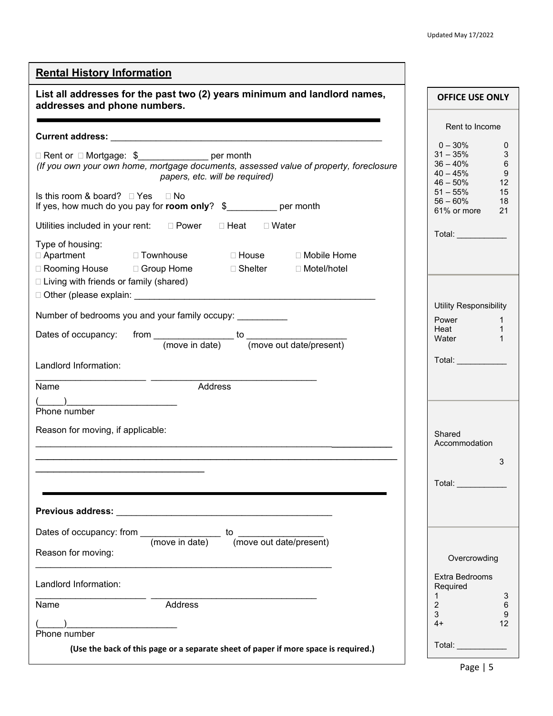| <b>Rental History Information</b>                                                                                                                                   |                                                                                                                                                                                                                                |
|---------------------------------------------------------------------------------------------------------------------------------------------------------------------|--------------------------------------------------------------------------------------------------------------------------------------------------------------------------------------------------------------------------------|
| List all addresses for the past two (2) years minimum and landlord names,<br>addresses and phone numbers.                                                           | <b>OFFICE USE ONLY</b>                                                                                                                                                                                                         |
|                                                                                                                                                                     | Rent to Income                                                                                                                                                                                                                 |
|                                                                                                                                                                     | $0 - 30\%$<br>0                                                                                                                                                                                                                |
| □ Rent or □ Mortgage: \$<br>□ Per month<br>(If you own your own home, mortgage documents, assessed value of property, foreclosure<br>papers, etc. will be required) | 3<br>$31 - 35\%$<br>6<br>$36 - 40\%$<br>9<br>$40 - 45%$<br>$46 - 50\%$<br>12<br>$51 - 55\%$<br>15                                                                                                                              |
| Is this room & board? $\Box$ Yes $\Box$ No<br>If yes, how much do you pay for room only? \$__________ per month                                                     | $56 - 60\%$<br>18<br>61% or more<br>21                                                                                                                                                                                         |
| Utilities included in your rent: D Power D Heat D Water                                                                                                             | Total: ___________                                                                                                                                                                                                             |
| Type of housing:<br>□ Rooming House □ Group Home<br>□ Shelter □ Motel/hotel<br>□ Living with friends or family (shared)                                             |                                                                                                                                                                                                                                |
|                                                                                                                                                                     | Utility Responsibility                                                                                                                                                                                                         |
| Number of bedrooms you and your family occupy: ___________                                                                                                          | <b>Power</b><br>$\mathbf{1}$<br>Heat<br>$\mathbf{1}$                                                                                                                                                                           |
| from $\frac{1}{\text{(move in date)}}$ to $\frac{1}{\text{(move out date/present)}}$<br>Dates of occupancy:                                                         | Water<br>$\mathbf{1}$                                                                                                                                                                                                          |
| Landlord Information:                                                                                                                                               | Total: The Contract of the Contract of the Contract of the Contract of the Contract of the Contract of the Contract of the Contract of the Contract of the Contract of the Contract of the Contract of the Contract of the Con |
| Address<br>Name                                                                                                                                                     |                                                                                                                                                                                                                                |
| Phone number                                                                                                                                                        |                                                                                                                                                                                                                                |
| Reason for moving, if applicable:                                                                                                                                   | Shared<br>Accommodation                                                                                                                                                                                                        |
|                                                                                                                                                                     | 3                                                                                                                                                                                                                              |
|                                                                                                                                                                     | <b>Total:</b> Total:                                                                                                                                                                                                           |
|                                                                                                                                                                     |                                                                                                                                                                                                                                |
|                                                                                                                                                                     |                                                                                                                                                                                                                                |
| Reason for moving:                                                                                                                                                  | Overcrowding                                                                                                                                                                                                                   |
| Landlord Information:                                                                                                                                               | Extra Bedrooms<br>Required<br>$\mathbf{1}$<br>3                                                                                                                                                                                |
| Address<br>Name                                                                                                                                                     | $2^{\circ}$<br>6<br>3<br>9                                                                                                                                                                                                     |
| <u>.</u>                                                                                                                                                            | 12<br>$4+$                                                                                                                                                                                                                     |
| Phone number<br>(Use the back of this page or a separate sheet of paper if more space is required.)                                                                 | Total: ____________                                                                                                                                                                                                            |
|                                                                                                                                                                     |                                                                                                                                                                                                                                |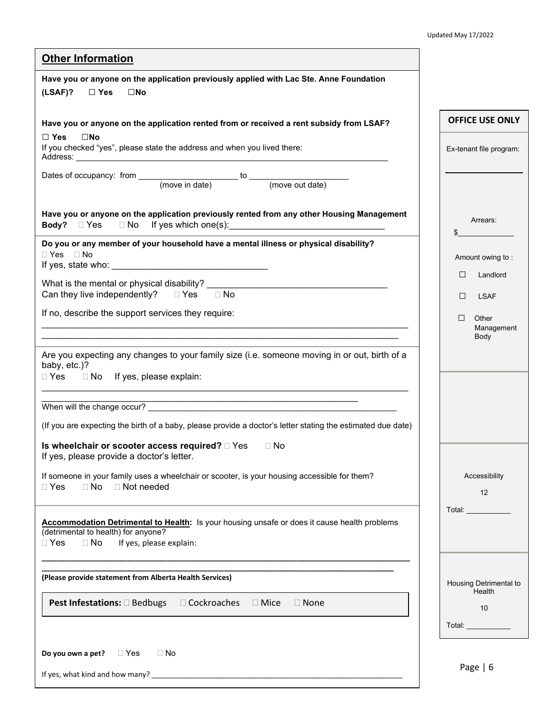| <b>Other Information</b>                                                                                                                                                                  |                                                                                                                                                                                                                               |
|-------------------------------------------------------------------------------------------------------------------------------------------------------------------------------------------|-------------------------------------------------------------------------------------------------------------------------------------------------------------------------------------------------------------------------------|
| Have you or anyone on the application previously applied with Lac Ste. Anne Foundation<br>(LSAF)?<br>$\Box$ Yes<br>$\square$ No                                                           |                                                                                                                                                                                                                               |
| Have you or anyone on the application rented from or received a rent subsidy from LSAF?                                                                                                   | <b>OFFICE USE ONLY</b>                                                                                                                                                                                                        |
| $\square$ No<br>$\Box$ Yes<br>If you checked "yes", please state the address and when you lived there:                                                                                    | Ex-tenant file program:                                                                                                                                                                                                       |
|                                                                                                                                                                                           |                                                                                                                                                                                                                               |
| Have you or anyone on the application previously rented from any other Housing Management                                                                                                 | Arrears:<br>\$                                                                                                                                                                                                                |
| Do you or any member of your household have a mental illness or physical disability?<br>$\Box$ Yes $\Box$ No                                                                              | Amount owing to:                                                                                                                                                                                                              |
|                                                                                                                                                                                           | Landlord<br>$\Box$                                                                                                                                                                                                            |
| Can they live independently? □ Yes □ No                                                                                                                                                   | $\Box$<br><b>LSAF</b>                                                                                                                                                                                                         |
| If no, describe the support services they require:                                                                                                                                        | $\Box$<br>Other<br>Management                                                                                                                                                                                                 |
|                                                                                                                                                                                           | Body                                                                                                                                                                                                                          |
| Are you expecting any changes to your family size (i.e. someone moving in or out, birth of a<br>baby, etc.)?<br>□ Yes □ No If yes, please explain:                                        |                                                                                                                                                                                                                               |
| When will the change occur?                                                                                                                                                               |                                                                                                                                                                                                                               |
| (If you are expecting the birth of a baby, please provide a doctor's letter stating the estimated due date)                                                                               |                                                                                                                                                                                                                               |
| Is wheelchair or scooter access required?<br><u> </u> I Yes<br>$\Box$ No<br>If yes, please provide a doctor's letter.                                                                     |                                                                                                                                                                                                                               |
| If someone in your family uses a wheelchair or scooter, is your housing accessible for them?<br>$\Box$ Not needed<br>$\Box$ Yes<br>$\Box$ No                                              | Accessibility<br>12                                                                                                                                                                                                           |
| Accommodation Detrimental to Health: Is your housing unsafe or does it cause health problems<br>(detrimental to health) for anyone?<br>$\Box$ Yes<br>$\Box$ No<br>If yes, please explain: | Total: with the control of the control of the control of the control of the control of the control of the control of the control of the control of the control of the control of the control of the control of the control of |
| (Please provide statement from Alberta Health Services)                                                                                                                                   | Housing Detrimental to                                                                                                                                                                                                        |
| <b>Pest Infestations:</b> □ Bedbugs □ Cockroaches □ Mice □ None                                                                                                                           | Health<br>10                                                                                                                                                                                                                  |
|                                                                                                                                                                                           |                                                                                                                                                                                                                               |
| $\Box$ Yes<br>$\Box$ No<br>Do you own a pet?                                                                                                                                              |                                                                                                                                                                                                                               |
| If yes, what kind and how many? _                                                                                                                                                         | Page $  6$                                                                                                                                                                                                                    |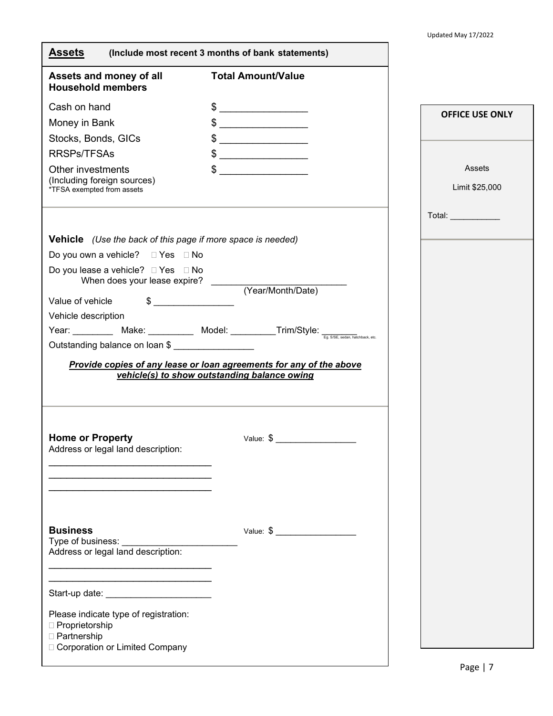| <b>Assets</b>                                                                                                                                                                                                                                                                                                                                       | (Include most recent 3 months of bank statements)                                                                                                                                                                                                                                                                                                                                                                                       |                                                                           |
|-----------------------------------------------------------------------------------------------------------------------------------------------------------------------------------------------------------------------------------------------------------------------------------------------------------------------------------------------------|-----------------------------------------------------------------------------------------------------------------------------------------------------------------------------------------------------------------------------------------------------------------------------------------------------------------------------------------------------------------------------------------------------------------------------------------|---------------------------------------------------------------------------|
| Assets and money of all<br><b>Household members</b>                                                                                                                                                                                                                                                                                                 | <b>Total Amount/Value</b>                                                                                                                                                                                                                                                                                                                                                                                                               |                                                                           |
| Cash on hand<br>Money in Bank<br>Stocks, Bonds, GICs<br><b>RRSPs/TFSAs</b><br>Other investments<br>(Including foreign sources)<br>*TFSA exempted from assets<br><b>Vehicle</b> (Use the back of this page if more space is needed)<br>Do you own a vehicle? □ Yes □ No<br>Do you lease a vehicle? □ Yes □ No<br>When does your lease expire? ______ | $\frac{1}{2}$<br>$\frac{1}{2}$<br>$\frac{1}{2}$<br>$\frac{1}{2}$<br>$\begin{picture}(20,20) \put(0,0){\vector(1,0){100}} \put(15,0){\vector(1,0){100}} \put(15,0){\vector(1,0){100}} \put(15,0){\vector(1,0){100}} \put(15,0){\vector(1,0){100}} \put(15,0){\vector(1,0){100}} \put(15,0){\vector(1,0){100}} \put(15,0){\vector(1,0){100}} \put(15,0){\vector(1,0){100}} \put(15,0){\vector(1,0){100}} \put(15,0){\vector(1,0){100}} \$ | <b>OFFICE USE ONLY</b><br>Assets<br>Limit \$25,000<br>Total: ____________ |
| $\qquad \qquad \bullet$<br>Value of vehicle<br>Vehicle description<br>Outstanding balance on loan \$                                                                                                                                                                                                                                                | (Year/Month/Date)<br>Year: ___________ Make: __________ Model: ___________Trim/Style: <del>__________</del> Trim/Style:<br>Provide copies of any lease or loan agreements for any of the above<br>vehicle(s) to show outstanding balance owing                                                                                                                                                                                          |                                                                           |
| <b>Home or Property</b><br>Address or legal land description:                                                                                                                                                                                                                                                                                       | Value: $\frac{1}{2}$                                                                                                                                                                                                                                                                                                                                                                                                                    |                                                                           |
|                                                                                                                                                                                                                                                                                                                                                     |                                                                                                                                                                                                                                                                                                                                                                                                                                         |                                                                           |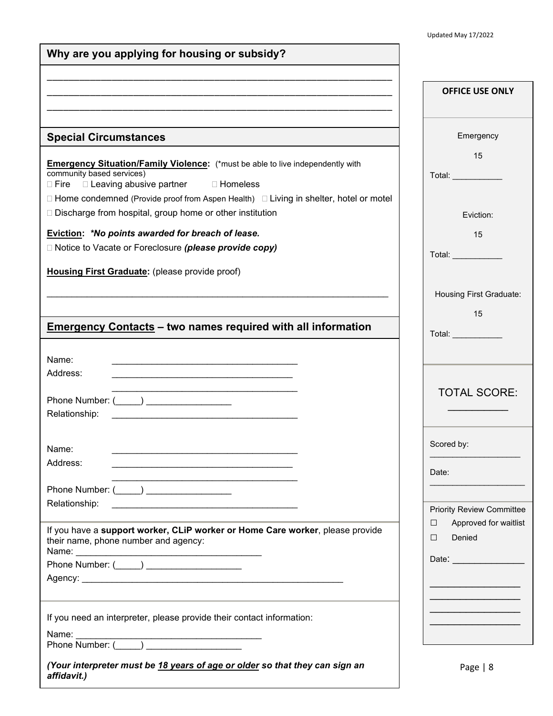| Why are you applying for housing or subsidy?                                                                                                                                                                                                                                                                                                                                                                                                                       |                                                                                                                    |
|--------------------------------------------------------------------------------------------------------------------------------------------------------------------------------------------------------------------------------------------------------------------------------------------------------------------------------------------------------------------------------------------------------------------------------------------------------------------|--------------------------------------------------------------------------------------------------------------------|
|                                                                                                                                                                                                                                                                                                                                                                                                                                                                    | <b>OFFICE USE ONLY</b>                                                                                             |
| <b>Special Circumstances</b>                                                                                                                                                                                                                                                                                                                                                                                                                                       | Emergency                                                                                                          |
| <b>Emergency Situation/Family Violence:</b> (*must be able to live independently with<br>community based services)<br>□ Leaving abusive partner □ Homeless<br>$\Box$ Fire<br>$\Box$ Home condemned (Provide proof from Aspen Health) $\Box$ Living in shelter, hotel or motel                                                                                                                                                                                      | 15<br>Total: ____________                                                                                          |
| □ Discharge from hospital, group home or other institution                                                                                                                                                                                                                                                                                                                                                                                                         | Eviction:                                                                                                          |
| Eviction: *No points awarded for breach of lease.<br>□ Notice to Vacate or Foreclosure (please provide copy)                                                                                                                                                                                                                                                                                                                                                       | 15<br>Total: ___________                                                                                           |
| Housing First Graduate: (please provide proof)                                                                                                                                                                                                                                                                                                                                                                                                                     | Housing First Graduate:<br>15                                                                                      |
| <b>Emergency Contacts - two names required with all information</b>                                                                                                                                                                                                                                                                                                                                                                                                | Total: ___________                                                                                                 |
| Name:<br>the control of the control of the control of the control of the control of the control of the control of the control of the control of the control of the control of the control of the control of the control of the control<br>Address:<br>the control of the control of the control of the control of the control of the control of<br>Phone Number: (_____) ___________________<br>Relationship:<br><u> 2000 - Johann John Harry Hermer (d. 1982)</u> | <b>TOTAL SCORE:</b>                                                                                                |
| Name:<br>Address:<br>the control of the control of the control of the control of the control of the control of the control of the control of the control of the control of the control of the control of the control of the control of the control<br>the control of the control of the control of the control of the control of the control of<br>Phone Number: (_____) _________________                                                                         | Scored by:<br>Date:                                                                                                |
| Relationship:<br><u> 1989 - Johann John Stein, market fan it fjort fan it fjort fan it fjort fan it fjort fan it fjort fan it fjort fan it fjort fan it fjort fan it fjort fan it fjort fan it fjort fan it fjort fan it fjort fan it fjort fan i</u><br>If you have a support worker, CLiP worker or Home Care worker, please provide<br>their name, phone number and agency:<br>Phone Number: (_____) ____________________                                       | <b>Priority Review Committee</b><br>Approved for waitlist<br>П<br>Denied<br>П<br>Date: <u>____________________</u> |
| If you need an interpreter, please provide their contact information:<br>Name:                                                                                                                                                                                                                                                                                                                                                                                     |                                                                                                                    |
| (Your interpreter must be 18 years of age or older so that they can sign an<br>affidavit.)                                                                                                                                                                                                                                                                                                                                                                         | Page $ 8$                                                                                                          |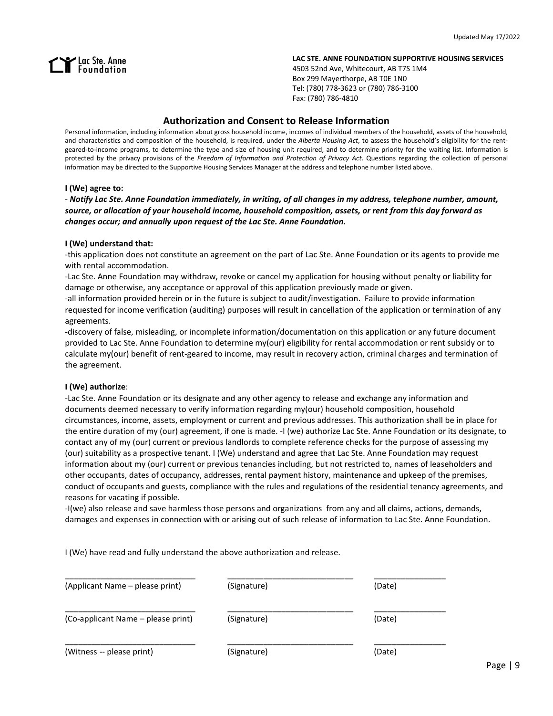# Lac Ste. Anne<br>Internation

#### **LAC STE. ANNE FOUNDATION SUPPORTIVE HOUSING SERVICES**

4503 52nd Ave, Whitecourt, AB T7S 1M4 Box 299 Mayerthorpe, AB T0E 1N0 Tel: (780) 778-3623 or (780) 786-3100 Fax: (780) 786-4810

# **Authorization and Consent to Release Information**

Personal information, including information about gross household income, incomes of individual members of the household, assets of the household, and characteristics and composition of the household, is required, under the *Alberta Housing Act*, to assess the household's eligibility for the rentgeared-to-income programs, to determine the type and size of housing unit required, and to determine priority for the waiting list. Information is protected by the privacy provisions of the *Freedom of Information and Protection of Privacy Act*. Questions regarding the collection of personal information may be directed to the Supportive Housing Services Manager at the address and telephone number listed above.

#### **I (We) agree to:**

- *Notify Lac Ste. Anne Foundation immediately, in writing, of all changes in my address, telephone number, amount, source, or allocation of your household income, household composition, assets, or rent from this day forward as changes occur; and annually upon request of the Lac Ste. Anne Foundation.*

#### **I (We) understand that:**

-this application does not constitute an agreement on the part of Lac Ste. Anne Foundation or its agents to provide me with rental accommodation.

-Lac Ste. Anne Foundation may withdraw, revoke or cancel my application for housing without penalty or liability for damage or otherwise, any acceptance or approval of this application previously made or given.

-all information provided herein or in the future is subject to audit/investigation. Failure to provide information requested for income verification (auditing) purposes will result in cancellation of the application or termination of any agreements.

-discovery of false, misleading, or incomplete information/documentation on this application or any future document provided to Lac Ste. Anne Foundation to determine my(our) eligibility for rental accommodation or rent subsidy or to calculate my(our) benefit of rent-geared to income, may result in recovery action, criminal charges and termination of the agreement.

## **I (We) authorize**:

-Lac Ste. Anne Foundation or its designate and any other agency to release and exchange any information and documents deemed necessary to verify information regarding my(our) household composition, household circumstances, income, assets, employment or current and previous addresses. This authorization shall be in place for the entire duration of my (our) agreement, if one is made. -I (we) authorize Lac Ste. Anne Foundation or its designate, to contact any of my (our) current or previous landlords to complete reference checks for the purpose of assessing my (our) suitability as a prospective tenant. I (We) understand and agree that Lac Ste. Anne Foundation may request information about my (our) current or previous tenancies including, but not restricted to, names of leaseholders and other occupants, dates of occupancy, addresses, rental payment history, maintenance and upkeep of the premises, conduct of occupants and guests, compliance with the rules and regulations of the residential tenancy agreements, and reasons for vacating if possible.

-I(we) also release and save harmless those persons and organizations from any and all claims, actions, demands, damages and expenses in connection with or arising out of such release of information to Lac Ste. Anne Foundation.

I (We) have read and fully understand the above authorization and release.

| (Applicant Name – please print)    | (Signature) | (Date) |
|------------------------------------|-------------|--------|
| (Co-applicant Name - please print) | (Signature) | (Date) |
| (Witness -- please print)          | (Signature) | (Date) |